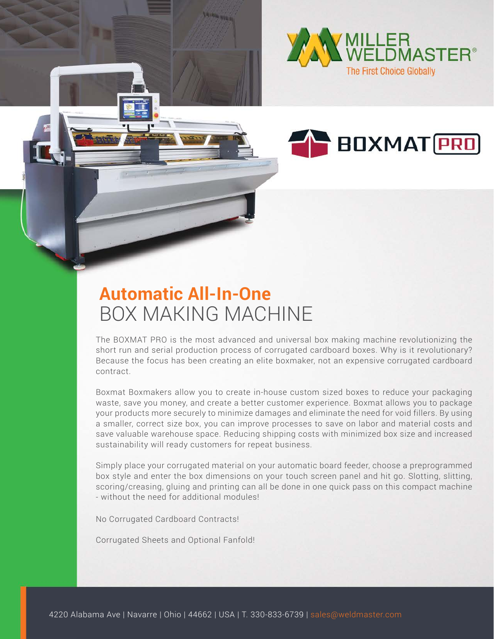



## **Automatic All-In-One** BOX MAKING MACHINE

The BOXMAT PRO is the most advanced and universal box making machine revolutionizing the short run and serial production process of corrugated cardboard boxes. Why is it revolutionary? Because the focus has been creating an elite boxmaker, not an expensive corrugated cardboard contract.

Boxmat Boxmakers allow you to create in-house custom sized boxes to reduce your packaging waste, save you money, and create a better customer experience. Boxmat allows you to package your products more securely to minimize damages and eliminate the need for void fillers. By using a smaller, correct size box, you can improve processes to save on labor and material costs and save valuable warehouse space. Reducing shipping costs with minimized box size and increased sustainability will ready customers for repeat business.

Simply place your corrugated material on your automatic board feeder, choose a preprogrammed box style and enter the box dimensions on your touch screen panel and hit go. Slotting, slitting, scoring/creasing, gluing and printing can all be done in one quick pass on this compact machine - without the need for additional modules!

No Corrugated Cardboard Contracts!

Corrugated Sheets and Optional Fanfold!